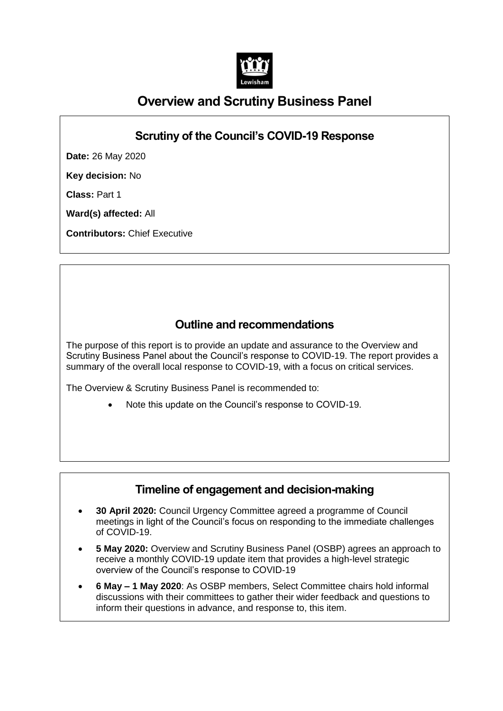

# **Overview and Scrutiny Business Panel**

# **Scrutiny of the Council's COVID-19 Response**

**Date:** 26 May 2020

**Key decision:** No

**Class:** Part 1

**Ward(s) affected:** All

**Contributors:** Chief Executive

# **Outline and recommendations**

The purpose of this report is to provide an update and assurance to the Overview and Scrutiny Business Panel about the Council's response to COVID-19. The report provides a summary of the overall local response to COVID-19, with a focus on critical services.

The Overview & Scrutiny Business Panel is recommended to:

Note this update on the Council's response to COVID-19.

## **Timeline of engagement and decision-making**

- **30 April 2020:** Council Urgency Committee agreed a programme of Council meetings in light of the Council's focus on responding to the immediate challenges of COVID-19.
- **5 May 2020:** Overview and Scrutiny Business Panel (OSBP) agrees an approach to receive a monthly COVID-19 update item that provides a high-level strategic overview of the Council's response to COVID-19
- **6 May – 1 May 2020**: As OSBP members, Select Committee chairs hold informal discussions with their committees to gather their wider feedback and questions to inform their questions in advance, and response to, this item.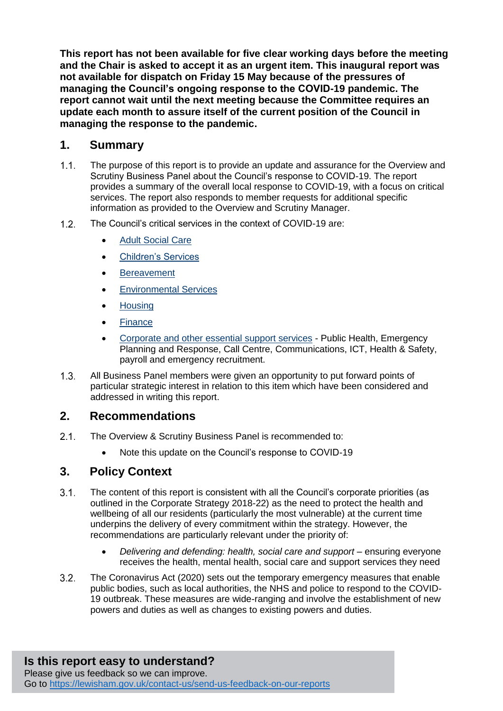**This report has not been available for five clear working days before the meeting and the Chair is asked to accept it as an urgent item. This inaugural report was not available for dispatch on Friday 15 May because of the pressures of managing the Council's ongoing response to the COVID-19 pandemic. The report cannot wait until the next meeting because the Committee requires an update each month to assure itself of the current position of the Council in managing the response to the pandemic.**

## **1. Summary**

- $1.1<sub>1</sub>$ The purpose of this report is to provide an update and assurance for the Overview and Scrutiny Business Panel about the Council's response to COVID-19. The report provides a summary of the overall local response to COVID-19, with a focus on critical services. The report also responds to member requests for additional specific information as provided to the Overview and Scrutiny Manager.
- $1.2<sub>1</sub>$ The Council's critical services in the context of COVID-19 are:
	- [Adult Social Care](#page-7-0)
	- [Children's Services](#page-8-0)
	- **•** [Bereavement](#page-9-0)
	- **•** [Environmental Services](#page-10-0)
	- [Housing](#page-10-1)
	- [Finance](#page-12-0)
	- [Corporate and other essential](#page-13-0) support services Public Health, Emergency Planning and Response, Call Centre, Communications, ICT, Health & Safety, payroll and emergency recruitment.
- All Business Panel members were given an opportunity to put forward points of  $1.3.$ particular strategic interest in relation to this item which have been considered and addressed in writing this report.

## **2. Recommendations**

- $2.1$ The Overview & Scrutiny Business Panel is recommended to:
	- Note this update on the Council's response to COVID-19

## **3. Policy Context**

- $3.1.$ The content of this report is consistent with all the Council's corporate priorities (as outlined in the Corporate Strategy 2018-22) as the need to protect the health and wellbeing of all our residents (particularly the most vulnerable) at the current time underpins the delivery of every commitment within the strategy. However, the recommendations are particularly relevant under the priority of:
	- Delivering and defending: health, social care and support ensuring everyone receives the health, mental health, social care and support services they need
- $3.2.$ The Coronavirus Act (2020) sets out the temporary emergency measures that enable public bodies, such as local authorities, the NHS and police to respond to the COVID-19 outbreak. These measures are wide-ranging and involve the establishment of new powers and duties as well as changes to existing powers and duties.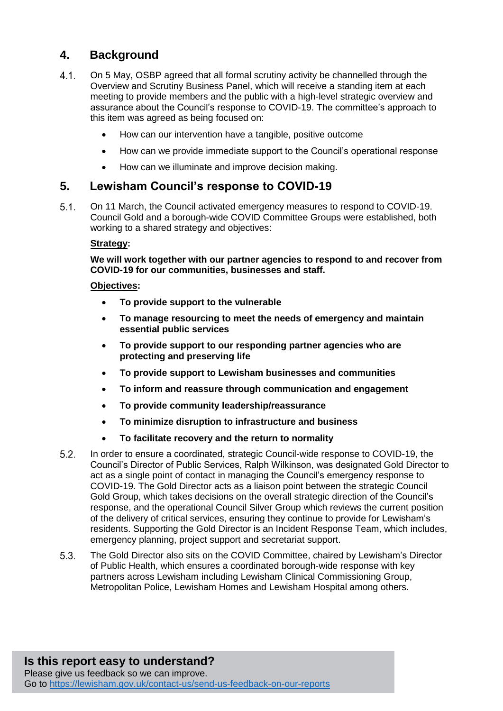# **4. Background**

- $4.1.$ On 5 May, OSBP agreed that all formal scrutiny activity be channelled through the Overview and Scrutiny Business Panel, which will receive a standing item at each meeting to provide members and the public with a high-level strategic overview and assurance about the Council's response to COVID-19. The committee's approach to this item was agreed as being focused on:
	- How can our intervention have a tangible, positive outcome
	- How can we provide immediate support to the Council's operational response
	- How can we illuminate and improve decision making.

#### **5. Lewisham Council's response to COVID-19**

 $5.1.$ On 11 March, the Council activated emergency measures to respond to COVID-19. Council Gold and a borough-wide COVID Committee Groups were established, both working to a shared strategy and objectives:

#### **Strategy:**

**We will work together with our partner agencies to respond to and recover from COVID-19 for our communities, businesses and staff.**

#### **Objectives:**

- **To provide support to the vulnerable**
- **To manage resourcing to meet the needs of emergency and maintain essential public services**
- **To provide support to our responding partner agencies who are protecting and preserving life**
- **To provide support to Lewisham businesses and communities**
- **To inform and reassure through communication and engagement**
- **To provide community leadership/reassurance**
- **To minimize disruption to infrastructure and business**
- **To facilitate recovery and the return to normality**
- $5.2.$ In order to ensure a coordinated, strategic Council-wide response to COVID-19, the Council's Director of Public Services, Ralph Wilkinson, was designated Gold Director to act as a single point of contact in managing the Council's emergency response to COVID-19. The Gold Director acts as a liaison point between the strategic Council Gold Group, which takes decisions on the overall strategic direction of the Council's response, and the operational Council Silver Group which reviews the current position of the delivery of critical services, ensuring they continue to provide for Lewisham's residents. Supporting the Gold Director is an Incident Response Team, which includes, emergency planning, project support and secretariat support.
- $5.3.$ The Gold Director also sits on the COVID Committee, chaired by Lewisham's Director of Public Health, which ensures a coordinated borough-wide response with key partners across Lewisham including Lewisham Clinical Commissioning Group, Metropolitan Police, Lewisham Homes and Lewisham Hospital among others.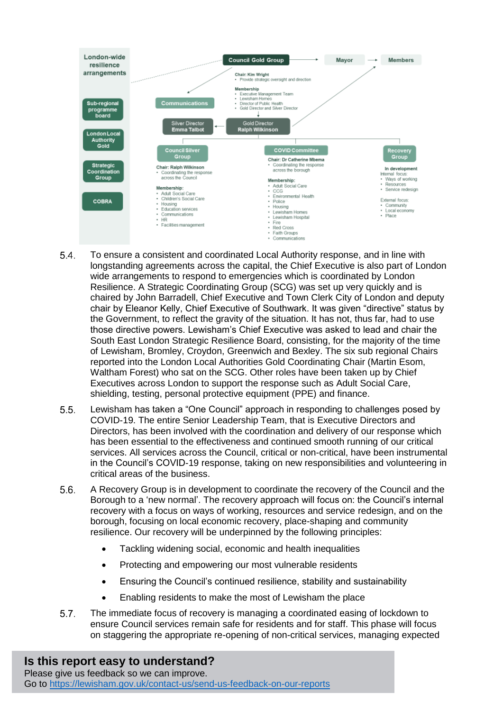

- $5.4.$ To ensure a consistent and coordinated Local Authority response, and in line with longstanding agreements across the capital, the Chief Executive is also part of London wide arrangements to respond to emergencies which is coordinated by London Resilience. A Strategic Coordinating Group (SCG) was set up very quickly and is chaired by John Barradell, Chief Executive and Town Clerk City of London and deputy chair by Eleanor Kelly, Chief Executive of Southwark. It was given "directive" status by the Government, to reflect the gravity of the situation. It has not, thus far, had to use those directive powers. Lewisham's Chief Executive was asked to lead and chair the South East London Strategic Resilience Board, consisting, for the majority of the time of Lewisham, Bromley, Croydon, Greenwich and Bexley. The six sub regional Chairs reported into the London Local Authorities Gold Coordinating Chair (Martin Esom, Waltham Forest) who sat on the SCG. Other roles have been taken up by Chief Executives across London to support the response such as Adult Social Care, shielding, testing, personal protective equipment (PPE) and finance.
- $5.5.$ Lewisham has taken a "One Council" approach in responding to challenges posed by COVID-19. The entire Senior Leadership Team, that is Executive Directors and Directors, has been involved with the coordination and delivery of our response which has been essential to the effectiveness and continued smooth running of our critical services. All services across the Council, critical or non-critical, have been instrumental in the Council's COVID-19 response, taking on new responsibilities and volunteering in critical areas of the business.
- $5.6.$ A Recovery Group is in development to coordinate the recovery of the Council and the Borough to a 'new normal'. The recovery approach will focus on: the Council's internal recovery with a focus on ways of working, resources and service redesign, and on the borough, focusing on local economic recovery, place-shaping and community resilience. Our recovery will be underpinned by the following principles:
	- Tackling widening social, economic and health inequalities
	- Protecting and empowering our most vulnerable residents
	- Ensuring the Council's continued resilience, stability and sustainability
	- Enabling residents to make the most of Lewisham the place
- $5.7.$ The immediate focus of recovery is managing a coordinated easing of lockdown to ensure Council services remain safe for residents and for staff. This phase will focus on staggering the appropriate re-opening of non-critical services, managing expected

# **Is this report easy to understand?**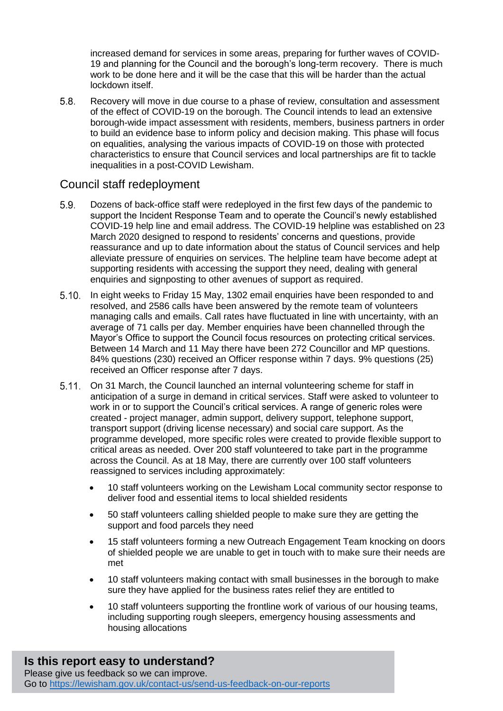increased demand for services in some areas, preparing for further waves of COVID-19 and planning for the Council and the borough's long-term recovery. There is much work to be done here and it will be the case that this will be harder than the actual lockdown itself.

 $5.8.$ Recovery will move in due course to a phase of review, consultation and assessment of the effect of COVID-19 on the borough. The Council intends to lead an extensive borough-wide impact assessment with residents, members, business partners in order to build an evidence base to inform policy and decision making. This phase will focus on equalities, analysing the various impacts of COVID-19 on those with protected characteristics to ensure that Council services and local partnerships are fit to tackle inequalities in a post-COVID Lewisham.

#### Council staff redeployment

- $5.9.$ Dozens of back-office staff were redeployed in the first few days of the pandemic to support the Incident Response Team and to operate the Council's newly established COVID-19 help line and email address. The COVID-19 helpline was established on 23 March 2020 designed to respond to residents' concerns and questions, provide reassurance and up to date information about the status of Council services and help alleviate pressure of enquiries on services. The helpline team have become adept at supporting residents with accessing the support they need, dealing with general enquiries and signposting to other avenues of support as required.
- 5.10. In eight weeks to Friday 15 May, 1302 email enquiries have been responded to and resolved, and 2586 calls have been answered by the remote team of volunteers managing calls and emails. Call rates have fluctuated in line with uncertainty, with an average of 71 calls per day. Member enquiries have been channelled through the Mayor's Office to support the Council focus resources on protecting critical services. Between 14 March and 11 May there have been 272 Councillor and MP questions. 84% questions (230) received an Officer response within 7 days. 9% questions (25) received an Officer response after 7 days.
- On 31 March, the Council launched an internal volunteering scheme for staff in anticipation of a surge in demand in critical services. Staff were asked to volunteer to work in or to support the Council's critical services. A range of generic roles were created - project manager, admin support, delivery support, telephone support, transport support (driving license necessary) and social care support. As the programme developed, more specific roles were created to provide flexible support to critical areas as needed. Over 200 staff volunteered to take part in the programme across the Council. As at 18 May, there are currently over 100 staff volunteers reassigned to services including approximately:
	- 10 staff volunteers working on the Lewisham Local community sector response to deliver food and essential items to local shielded residents
	- 50 staff volunteers calling shielded people to make sure they are getting the support and food parcels they need
	- 15 staff volunteers forming a new Outreach Engagement Team knocking on doors of shielded people we are unable to get in touch with to make sure their needs are met
	- 10 staff volunteers making contact with small businesses in the borough to make sure they have applied for the business rates relief they are entitled to
	- 10 staff volunteers supporting the frontline work of various of our housing teams, including supporting rough sleepers, emergency housing assessments and housing allocations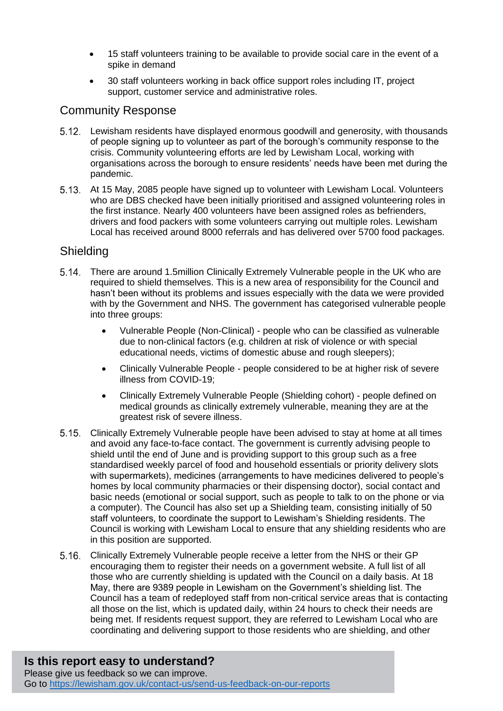- 15 staff volunteers training to be available to provide social care in the event of a spike in demand
- 30 staff volunteers working in back office support roles including IT, project support, customer service and administrative roles.

## Community Response

- Lewisham residents have displayed enormous goodwill and generosity, with thousands of people signing up to volunteer as part of the borough's community response to the crisis. Community volunteering efforts are led by Lewisham Local, working with organisations across the borough to ensure residents' needs have been met during the pandemic.
- At 15 May, 2085 people have signed up to volunteer with Lewisham Local. Volunteers who are DBS checked have been initially prioritised and assigned volunteering roles in the first instance. Nearly 400 volunteers have been assigned roles as befrienders, drivers and food packers with some volunteers carrying out multiple roles. Lewisham Local has received around 8000 referrals and has delivered over 5700 food packages.

## **Shielding**

- There are around 1.5million Clinically Extremely Vulnerable people in the UK who are required to shield themselves. This is a new area of responsibility for the Council and hasn't been without its problems and issues especially with the data we were provided with by the Government and NHS. The government has categorised vulnerable people into three groups:
	- Vulnerable People (Non-Clinical) people who can be classified as vulnerable due to non-clinical factors (e.g. children at risk of violence or with special educational needs, victims of domestic abuse and rough sleepers);
	- Clinically Vulnerable People people considered to be at higher risk of severe illness from COVID-19;
	- Clinically Extremely Vulnerable People (Shielding cohort) people defined on medical grounds as clinically extremely vulnerable, meaning they are at the greatest risk of severe illness.
- Clinically Extremely Vulnerable people have been advised to stay at home at all times and avoid any face-to-face contact. The government is currently advising people to shield until the end of June and is providing support to this group such as a free standardised weekly parcel of food and household essentials or priority delivery slots with supermarkets), medicines (arrangements to have medicines delivered to people's homes by local community pharmacies or their dispensing doctor), social contact and basic needs (emotional or social support, such as people to talk to on the phone or via a computer). The Council has also set up a Shielding team, consisting initially of 50 staff volunteers, to coordinate the support to Lewisham's Shielding residents. The Council is working with Lewisham Local to ensure that any shielding residents who are in this position are supported.
- Clinically Extremely Vulnerable people receive a letter from the NHS or their GP encouraging them to register their needs on a government website. A full list of all those who are currently shielding is updated with the Council on a daily basis. At 18 May, there are 9389 people in Lewisham on the Government's shielding list. The Council has a team of redeployed staff from non-critical service areas that is contacting all those on the list, which is updated daily, within 24 hours to check their needs are being met. If residents request support, they are referred to Lewisham Local who are coordinating and delivering support to those residents who are shielding, and other

# **Is this report easy to understand?**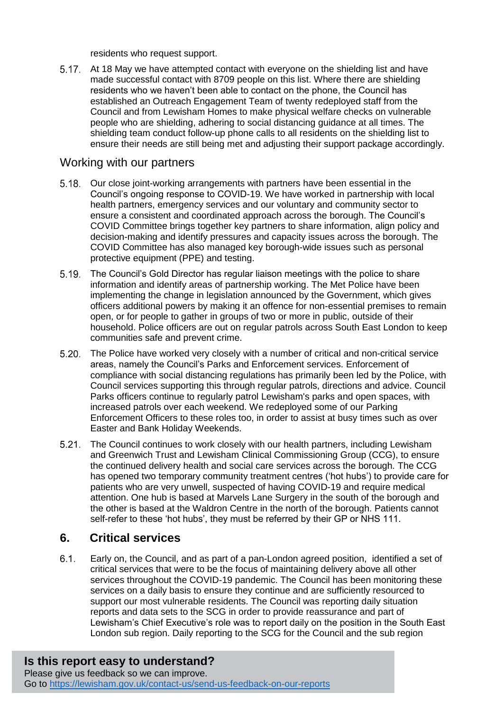residents who request support.

5.17. At 18 May we have attempted contact with everyone on the shielding list and have made successful contact with 8709 people on this list. Where there are shielding residents who we haven't been able to contact on the phone, the Council has established an Outreach Engagement Team of twenty redeployed staff from the Council and from Lewisham Homes to make physical welfare checks on vulnerable people who are shielding, adhering to social distancing guidance at all times. The shielding team conduct follow-up phone calls to all residents on the shielding list to ensure their needs are still being met and adjusting their support package accordingly.

## Working with our partners

- 5.18. Our close joint-working arrangements with partners have been essential in the Council's ongoing response to COVID-19. We have worked in partnership with local health partners, emergency services and our voluntary and community sector to ensure a consistent and coordinated approach across the borough. The Council's COVID Committee brings together key partners to share information, align policy and decision-making and identify pressures and capacity issues across the borough. The COVID Committee has also managed key borough-wide issues such as personal protective equipment (PPE) and testing.
- $5.19.$ The Council's Gold Director has regular liaison meetings with the police to share information and identify areas of partnership working. The Met Police have been implementing the change in legislation announced by the Government, which gives officers additional powers by making it an offence for non-essential premises to remain open, or for people to gather in groups of two or more in public, outside of their household. Police officers are out on regular patrols across South East London to keep communities safe and prevent crime.
- The Police have worked very closely with a number of critical and non-critical service areas, namely the Council's Parks and Enforcement services. Enforcement of compliance with social distancing regulations has primarily been led by the Police, with Council services supporting this through regular patrols, directions and advice. Council Parks officers continue to regularly patrol Lewisham's parks and open spaces, with increased patrols over each weekend. We redeployed some of our Parking Enforcement Officers to these roles too, in order to assist at busy times such as over Easter and Bank Holiday Weekends.
- $5.21$ The Council continues to work closely with our health partners, including Lewisham and Greenwich Trust and Lewisham Clinical Commissioning Group (CCG), to ensure the continued delivery health and social care services across the borough. The CCG has opened two temporary community treatment centres ('hot hubs') to provide care for patients who are very unwell, suspected of having COVID-19 and require medical attention. One hub is based at Marvels Lane Surgery in the south of the borough and the other is based at the Waldron Centre in the north of the borough. Patients cannot self-refer to these 'hot hubs', they must be referred by their GP or NHS 111.

# **6. Critical services**

 $6.1.$ Early on, the Council, and as part of a pan-London agreed position, identified a set of critical services that were to be the focus of maintaining delivery above all other services throughout the COVID-19 pandemic. The Council has been monitoring these services on a daily basis to ensure they continue and are sufficiently resourced to support our most vulnerable residents. The Council was reporting daily situation reports and data sets to the SCG in order to provide reassurance and part of Lewisham's Chief Executive's role was to report daily on the position in the South East London sub region. Daily reporting to the SCG for the Council and the sub region

# **Is this report easy to understand?**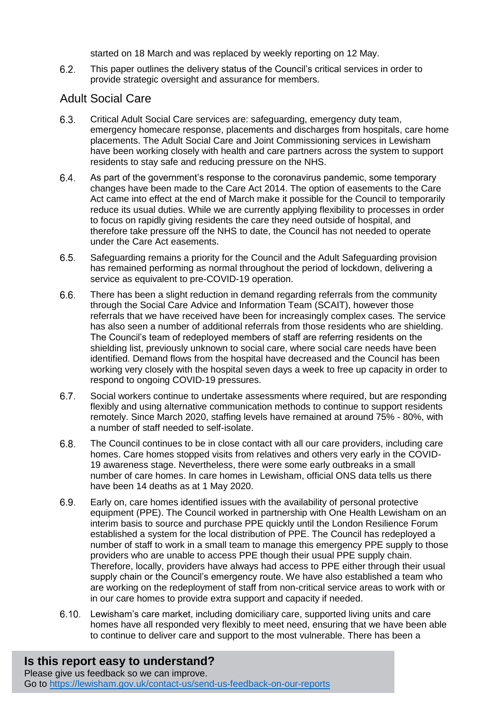started on 18 March and was replaced by weekly reporting on 12 May.

 $6.2.$ This paper outlines the delivery status of the Council's critical services in order to provide strategic oversight and assurance for members.

## <span id="page-7-0"></span>Adult Social Care

- $6.3.$ Critical Adult Social Care services are: safeguarding, emergency duty team, emergency homecare response, placements and discharges from hospitals, care home placements. The Adult Social Care and Joint Commissioning services in Lewisham have been working closely with health and care partners across the system to support residents to stay safe and reducing pressure on the NHS.
- $6.4.$ As part of the government's response to the coronavirus pandemic, some temporary changes have been made to the Care Act 2014. The option of easements to the Care Act came into effect at the end of March make it possible for the Council to temporarily reduce its usual duties. While we are currently applying flexibility to processes in order to focus on rapidly giving residents the care they need outside of hospital, and therefore take pressure off the NHS to date, the Council has not needed to operate under the Care Act easements.
- $6.5.$ Safeguarding remains a priority for the Council and the Adult Safeguarding provision has remained performing as normal throughout the period of lockdown, delivering a service as equivalent to pre-COVID-19 operation.
- $6.6.$ There has been a slight reduction in demand regarding referrals from the community through the Social Care Advice and Information Team (SCAIT), however those referrals that we have received have been for increasingly complex cases. The service has also seen a number of additional referrals from those residents who are shielding. The Council's team of redeployed members of staff are referring residents on the shielding list, previously unknown to social care, where social care needs have been identified. Demand flows from the hospital have decreased and the Council has been working very closely with the hospital seven days a week to free up capacity in order to respond to ongoing COVID-19 pressures.
- $6.7.$ Social workers continue to undertake assessments where required, but are responding flexibly and using alternative communication methods to continue to support residents remotely. Since March 2020, staffing levels have remained at around 75% - 80%, with a number of staff needed to self-isolate.
- $6.8.$ The Council continues to be in close contact with all our care providers, including care homes. Care homes stopped visits from relatives and others very early in the COVID-19 awareness stage. Nevertheless, there were some early outbreaks in a small number of care homes. In care homes in Lewisham, official ONS data tells us there have been 14 deaths as at 1 May 2020.
- $6.9.$ Early on, care homes identified issues with the availability of personal protective equipment (PPE). The Council worked in partnership with One Health Lewisham on an interim basis to source and purchase PPE quickly until the London Resilience Forum established a system for the local distribution of PPE. The Council has redeployed a number of staff to work in a small team to manage this emergency PPE supply to those providers who are unable to access PPE though their usual PPE supply chain. Therefore, locally, providers have always had access to PPE either through their usual supply chain or the Council's emergency route. We have also established a team who are working on the redeployment of staff from non-critical service areas to work with or in our care homes to provide extra support and capacity if needed.
- Lewisham's care market, including domiciliary care, supported living units and care homes have all responded very flexibly to meet need, ensuring that we have been able to continue to deliver care and support to the most vulnerable. There has been a

# **Is this report easy to understand?**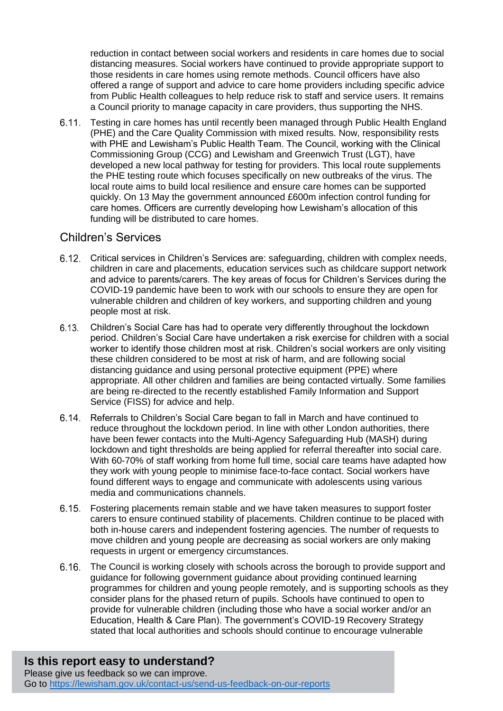reduction in contact between social workers and residents in care homes due to social distancing measures. Social workers have continued to provide appropriate support to those residents in care homes using remote methods. Council officers have also offered a range of support and advice to care home providers including specific advice from Public Health colleagues to help reduce risk to staff and service users. It remains a Council priority to manage capacity in care providers, thus supporting the NHS.

Testing in care homes has until recently been managed through Public Health England (PHE) and the Care Quality Commission with mixed results. Now, responsibility rests with PHE and Lewisham's Public Health Team. The Council, working with the Clinical Commissioning Group (CCG) and Lewisham and Greenwich Trust (LGT), have developed a new local pathway for testing for providers. This local route supplements the PHE testing route which focuses specifically on new outbreaks of the virus. The local route aims to build local resilience and ensure care homes can be supported quickly. On 13 May the government announced £600m infection control funding for care homes. Officers are currently developing how Lewisham's allocation of this funding will be distributed to care homes.

#### <span id="page-8-0"></span>Children's Services

- Critical services in Children's Services are: safeguarding, children with complex needs, children in care and placements, education services such as childcare support network and advice to parents/carers. The key areas of focus for Children's Services during the COVID-19 pandemic have been to work with our schools to ensure they are open for vulnerable children and children of key workers, and supporting children and young people most at risk.
- Children's Social Care has had to operate very differently throughout the lockdown period. Children's Social Care have undertaken a risk exercise for children with a social worker to identify those children most at risk. Children's social workers are only visiting these children considered to be most at risk of harm, and are following social distancing guidance and using personal protective equipment (PPE) where appropriate. All other children and families are being contacted virtually. Some families are being re-directed to the recently established Family Information and Support Service (FISS) for advice and help.
- 6.14. Referrals to Children's Social Care began to fall in March and have continued to reduce throughout the lockdown period. In line with other London authorities, there have been fewer contacts into the Multi-Agency Safeguarding Hub (MASH) during lockdown and tight thresholds are being applied for referral thereafter into social care. With 60-70% of staff working from home full time, social care teams have adapted how they work with young people to minimise face-to-face contact. Social workers have found different ways to engage and communicate with adolescents using various media and communications channels.
- Fostering placements remain stable and we have taken measures to support foster carers to ensure continued stability of placements. Children continue to be placed with both in-house carers and independent fostering agencies. The number of requests to move children and young people are decreasing as social workers are only making requests in urgent or emergency circumstances.
- The Council is working closely with schools across the borough to provide support and guidance for following government guidance about providing continued learning programmes for children and young people remotely, and is supporting schools as they consider plans for the phased return of pupils. Schools have continued to open to provide for vulnerable children (including those who have a social worker and/or an Education, Health & Care Plan). The government's COVID-19 Recovery Strategy stated that local authorities and schools should continue to encourage vulnerable

# **Is this report easy to understand?**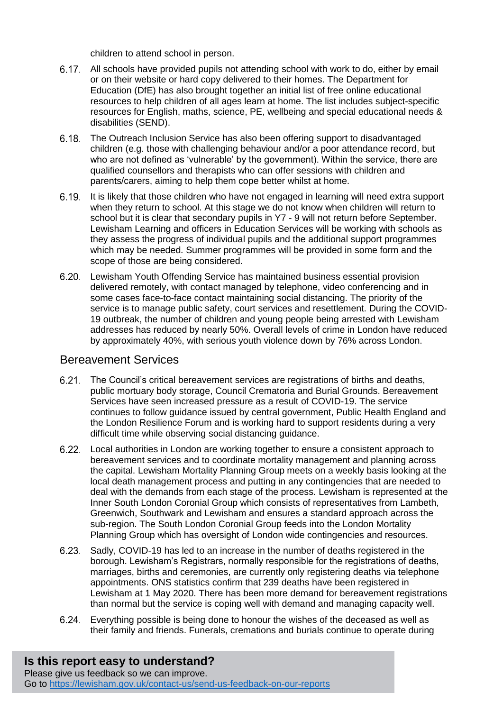children to attend school in person.

- All schools have provided pupils not attending school with work to do, either by email or on their website or hard copy delivered to their homes. The Department for Education (DfE) has also brought together an initial list of free online educational resources to help children of all ages learn at home. The list includes subject-specific resources for English, maths, science, PE, wellbeing and special educational needs & disabilities (SEND).
- The Outreach Inclusion Service has also been offering support to disadvantaged children (e.g. those with challenging behaviour and/or a poor attendance record, but who are not defined as 'vulnerable' by the government). Within the service, there are qualified counsellors and therapists who can offer sessions with children and parents/carers, aiming to help them cope better whilst at home.
- 6.19. It is likely that those children who have not engaged in learning will need extra support when they return to school. At this stage we do not know when children will return to school but it is clear that secondary pupils in Y7 - 9 will not return before September. Lewisham Learning and officers in Education Services will be working with schools as they assess the progress of individual pupils and the additional support programmes which may be needed. Summer programmes will be provided in some form and the scope of those are being considered.
- Lewisham Youth Offending Service has maintained business essential provision delivered remotely, with contact managed by telephone, video conferencing and in some cases face-to-face contact maintaining social distancing. The priority of the service is to manage public safety, court services and resettlement. During the COVID-19 outbreak, the number of children and young people being arrested with Lewisham addresses has reduced by nearly 50%. Overall levels of crime in London have reduced by approximately 40%, with serious youth violence down by 76% across London.

#### <span id="page-9-0"></span>Bereavement Services

- The Council's critical bereavement services are registrations of births and deaths, public mortuary body storage, Council Crematoria and Burial Grounds. Bereavement Services have seen increased pressure as a result of COVID-19. The service continues to follow guidance issued by central government, Public Health England and the London Resilience Forum and is working hard to support residents during a very difficult time while observing social distancing guidance.
- Local authorities in London are working together to ensure a consistent approach to bereavement services and to coordinate mortality management and planning across the capital. Lewisham Mortality Planning Group meets on a weekly basis looking at the local death management process and putting in any contingencies that are needed to deal with the demands from each stage of the process. Lewisham is represented at the Inner South London Coronial Group which consists of representatives from Lambeth, Greenwich, Southwark and Lewisham and ensures a standard approach across the sub-region. The South London Coronial Group feeds into the London Mortality Planning Group which has oversight of London wide contingencies and resources.
- 6.23. Sadly, COVID-19 has led to an increase in the number of deaths registered in the borough. Lewisham's Registrars, normally responsible for the registrations of deaths, marriages, births and ceremonies, are currently only registering deaths via telephone appointments. ONS statistics confirm that 239 deaths have been registered in Lewisham at 1 May 2020. There has been more demand for bereavement registrations than normal but the service is coping well with demand and managing capacity well.
- Everything possible is being done to honour the wishes of the deceased as well as their family and friends. Funerals, cremations and burials continue to operate during

#### **Is this report easy to understand?** Please give us feedback so we can improve.

Go to<https://lewisham.gov.uk/contact-us/send-us-feedback-on-our-reports>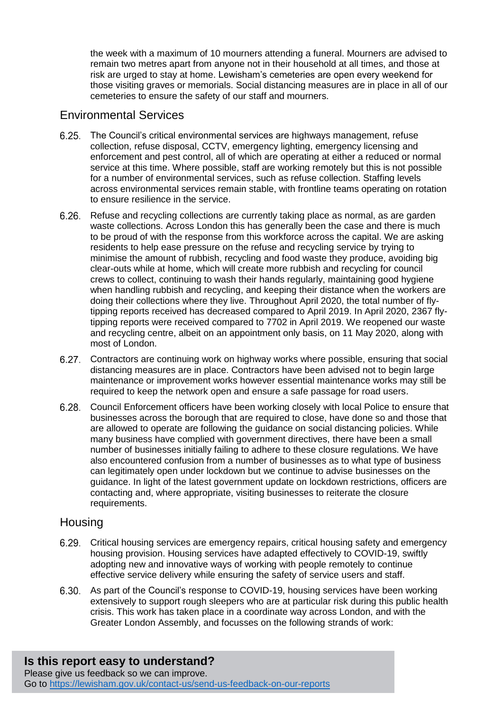the week with a maximum of 10 mourners attending a funeral. Mourners are advised to remain two metres apart from anyone not in their household at all times, and those at risk are urged to stay at home. Lewisham's cemeteries are open every weekend for those visiting graves or memorials. Social distancing measures are in place in all of our cemeteries to ensure the safety of our staff and mourners.

#### <span id="page-10-0"></span>Environmental Services

- The Council's critical environmental services are highways management, refuse collection, refuse disposal, CCTV, emergency lighting, emergency licensing and enforcement and pest control, all of which are operating at either a reduced or normal service at this time. Where possible, staff are working remotely but this is not possible for a number of environmental services, such as refuse collection. Staffing levels across environmental services remain stable, with frontline teams operating on rotation to ensure resilience in the service.
- Refuse and recycling collections are currently taking place as normal, as are garden waste collections. Across London this has generally been the case and there is much to be proud of with the response from this workforce across the capital. We are asking residents to help ease pressure on the refuse and recycling service by trying to minimise the amount of rubbish, recycling and food waste they produce, avoiding big clear-outs while at home, which will create more rubbish and recycling for council crews to collect, continuing to wash their hands regularly, maintaining good hygiene when handling rubbish and recycling, and keeping their distance when the workers are doing their collections where they live. Throughout April 2020, the total number of flytipping reports received has decreased compared to April 2019. In April 2020, 2367 flytipping reports were received compared to 7702 in April 2019. We reopened our waste and recycling centre, albeit on an appointment only basis, on 11 May 2020, along with most of London.
- $6.27.$ Contractors are continuing work on highway works where possible, ensuring that social distancing measures are in place. Contractors have been advised not to begin large maintenance or improvement works however essential maintenance works may still be required to keep the network open and ensure a safe passage for road users.
- Council Enforcement officers have been working closely with local Police to ensure that businesses across the borough that are required to close, have done so and those that are allowed to operate are following the guidance on social distancing policies. While many business have complied with government directives, there have been a small number of businesses initially failing to adhere to these closure regulations. We have also encountered confusion from a number of businesses as to what type of business can legitimately open under lockdown but we continue to advise businesses on the guidance. In light of the latest government update on lockdown restrictions, officers are contacting and, where appropriate, visiting businesses to reiterate the closure requirements.

#### <span id="page-10-1"></span>**Housing**

- Critical housing services are emergency repairs, critical housing safety and emergency housing provision. Housing services have adapted effectively to COVID-19, swiftly adopting new and innovative ways of working with people remotely to continue effective service delivery while ensuring the safety of service users and staff.
- 6.30. As part of the Council's response to COVID-19, housing services have been working extensively to support rough sleepers who are at particular risk during this public health crisis. This work has taken place in a coordinate way across London, and with the Greater London Assembly, and focusses on the following strands of work:

#### **Is this report easy to understand?** Please give us feedback so we can improve. Go to<https://lewisham.gov.uk/contact-us/send-us-feedback-on-our-reports>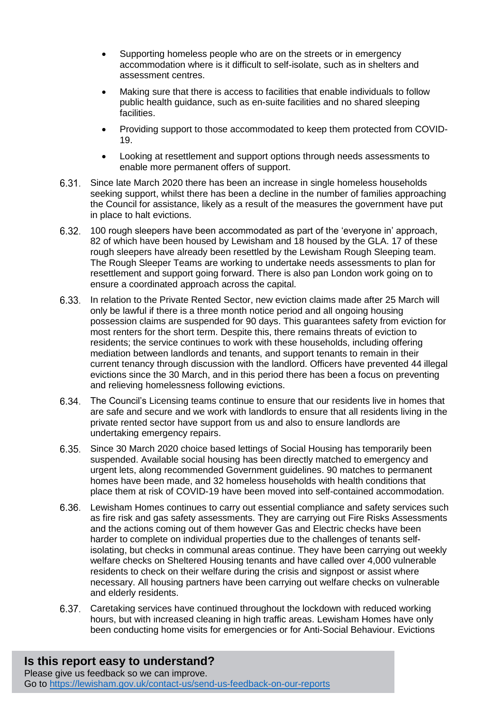- Supporting homeless people who are on the streets or in emergency accommodation where is it difficult to self-isolate, such as in shelters and assessment centres.
- Making sure that there is access to facilities that enable individuals to follow public health guidance, such as en-suite facilities and no shared sleeping facilities.
- Providing support to those accommodated to keep them protected from COVID-19.
- Looking at resettlement and support options through needs assessments to enable more permanent offers of support.
- Since late March 2020 there has been an increase in single homeless households seeking support, whilst there has been a decline in the number of families approaching the Council for assistance, likely as a result of the measures the government have put in place to halt evictions.
- 100 rough sleepers have been accommodated as part of the 'everyone in' approach, 82 of which have been housed by Lewisham and 18 housed by the GLA. 17 of these rough sleepers have already been resettled by the Lewisham Rough Sleeping team. The Rough Sleeper Teams are working to undertake needs assessments to plan for resettlement and support going forward. There is also pan London work going on to ensure a coordinated approach across the capital.
- 6.33. In relation to the Private Rented Sector, new eviction claims made after 25 March will only be lawful if there is a three month notice period and all ongoing housing possession claims are suspended for 90 days. This guarantees safety from eviction for most renters for the short term. Despite this, there remains threats of eviction to residents; the service continues to work with these households, including offering mediation between landlords and tenants, and support tenants to remain in their current tenancy through discussion with the landlord. Officers have prevented 44 illegal evictions since the 30 March, and in this period there has been a focus on preventing and relieving homelessness following evictions.
- The Council's Licensing teams continue to ensure that our residents live in homes that are safe and secure and we work with landlords to ensure that all residents living in the private rented sector have support from us and also to ensure landlords are undertaking emergency repairs.
- Since 30 March 2020 choice based lettings of Social Housing has temporarily been suspended. Available social housing has been directly matched to emergency and urgent lets, along recommended Government guidelines. 90 matches to permanent homes have been made, and 32 homeless households with health conditions that place them at risk of COVID-19 have been moved into self-contained accommodation.
- 6.36. Lewisham Homes continues to carry out essential compliance and safety services such as fire risk and gas safety assessments. They are carrying out Fire Risks Assessments and the actions coming out of them however Gas and Electric checks have been harder to complete on individual properties due to the challenges of tenants selfisolating, but checks in communal areas continue. They have been carrying out weekly welfare checks on Sheltered Housing tenants and have called over 4,000 vulnerable residents to check on their welfare during the crisis and signpost or assist where necessary. All housing partners have been carrying out welfare checks on vulnerable and elderly residents.
- Caretaking services have continued throughout the lockdown with reduced working hours, but with increased cleaning in high traffic areas. Lewisham Homes have only been conducting home visits for emergencies or for Anti-Social Behaviour. Evictions

#### **Is this report easy to understand?** Please give us feedback so we can improve. Go to<https://lewisham.gov.uk/contact-us/send-us-feedback-on-our-reports>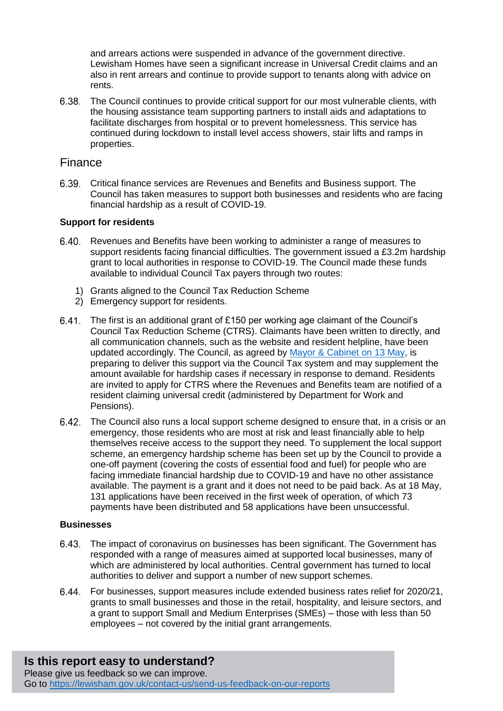and arrears actions were suspended in advance of the government directive. Lewisham Homes have seen a significant increase in Universal Credit claims and an also in rent arrears and continue to provide support to tenants along with advice on rents.

The Council continues to provide critical support for our most vulnerable clients, with the housing assistance team supporting partners to install aids and adaptations to facilitate discharges from hospital or to prevent homelessness. This service has continued during lockdown to install level access showers, stair lifts and ramps in properties.

#### <span id="page-12-0"></span>Finance

Critical finance services are Revenues and Benefits and Business support. The Council has taken measures to support both businesses and residents who are facing financial hardship as a result of COVID-19.

#### **Support for residents**

- Revenues and Benefits have been working to administer a range of measures to support residents facing financial difficulties. The government issued a £3.2m hardship grant to local authorities in response to COVID-19. The Council made these funds available to individual Council Tax payers through two routes:
	- 1) Grants aligned to the Council Tax Reduction Scheme
	- 2) Emergency support for residents.
- The first is an additional grant of £150 per working age claimant of the Council's Council Tax Reduction Scheme (CTRS). Claimants have been written to directly, and all communication channels, such as the website and resident helpline, have been updated accordingly. The Council, as agreed by [Mayor &](http://councilmeetings.lewisham.gov.uk/ieListDocuments.aspx?CId=139&MId=5978) Cabinet on 13 May, is preparing to deliver this support via the Council Tax system and may supplement the amount available for hardship cases if necessary in response to demand. Residents are invited to apply for CTRS where the Revenues and Benefits team are notified of a resident claiming universal credit (administered by Department for Work and Pensions).
- The Council also runs a local support scheme designed to ensure that, in a crisis or an emergency, those residents who are most at risk and least financially able to help themselves receive access to the support they need. To supplement the local support scheme, an emergency hardship scheme has been set up by the Council to provide a one-off payment (covering the costs of essential food and fuel) for people who are facing immediate financial hardship due to COVID-19 and have no other assistance available. The payment is a grant and it does not need to be paid back. As at 18 May, 131 applications have been received in the first week of operation, of which 73 payments have been distributed and 58 applications have been unsuccessful.

#### **Businesses**

- The impact of coronavirus on businesses has been significant. The Government has responded with a range of measures aimed at supported local businesses, many of which are administered by local authorities. Central government has turned to local authorities to deliver and support a number of new support schemes.
- For businesses, support measures include extended business rates relief for 2020/21, grants to small businesses and those in the retail, hospitality, and leisure sectors, and a grant to support Small and Medium Enterprises (SMEs) – those with less than 50 employees – not covered by the initial grant arrangements.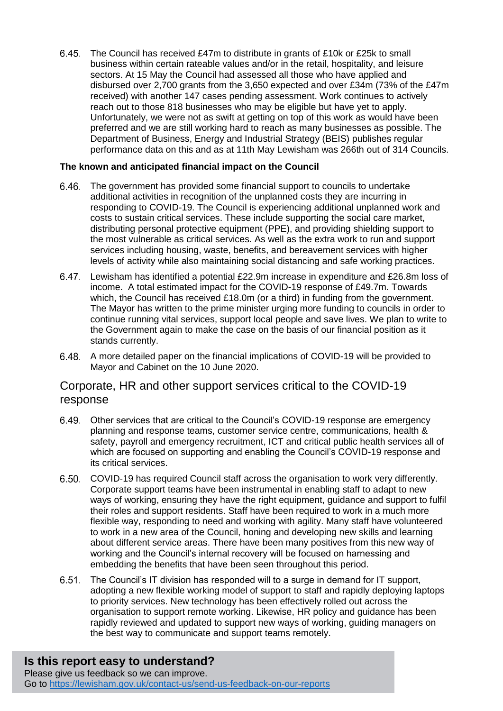The Council has received £47m to distribute in grants of £10k or £25k to small business within certain rateable values and/or in the retail, hospitality, and leisure sectors. At 15 May the Council had assessed all those who have applied and disbursed over 2,700 grants from the 3,650 expected and over £34m (73% of the £47m received) with another 147 cases pending assessment. Work continues to actively reach out to those 818 businesses who may be eligible but have yet to apply. Unfortunately, we were not as swift at getting on top of this work as would have been preferred and we are still working hard to reach as many businesses as possible. The Department of Business, Energy and Industrial Strategy (BEIS) publishes regular performance data on this and as at 11th May Lewisham was 266th out of 314 Councils.

#### **The known and anticipated financial impact on the Council**

- The government has provided some financial support to councils to undertake additional activities in recognition of the unplanned costs they are incurring in responding to COVID-19. The Council is experiencing additional unplanned work and costs to sustain critical services. These include supporting the social care market, distributing personal protective equipment (PPE), and providing shielding support to the most vulnerable as critical services. As well as the extra work to run and support services including housing, waste, benefits, and bereavement services with higher levels of activity while also maintaining social distancing and safe working practices.
- Lewisham has identified a potential £22.9m increase in expenditure and £26.8m loss of income. A total estimated impact for the COVID-19 response of £49.7m. Towards which, the Council has received £18.0m (or a third) in funding from the government. The Mayor has written to the prime minister urging more funding to councils in order to continue running vital services, support local people and save lives. We plan to write to the Government again to make the case on the basis of our financial position as it stands currently.
- A more detailed paper on the financial implications of COVID-19 will be provided to Mayor and Cabinet on the 10 June 2020.

## <span id="page-13-0"></span>Corporate, HR and other support services critical to the COVID-19 response

- Other services that are critical to the Council's COVID-19 response are emergency planning and response teams, customer service centre, communications, health & safety, payroll and emergency recruitment, ICT and critical public health services all of which are focused on supporting and enabling the Council's COVID-19 response and its critical services.
- COVID-19 has required Council staff across the organisation to work very differently. Corporate support teams have been instrumental in enabling staff to adapt to new ways of working, ensuring they have the right equipment, guidance and support to fulfil their roles and support residents. Staff have been required to work in a much more flexible way, responding to need and working with agility. Many staff have volunteered to work in a new area of the Council, honing and developing new skills and learning about different service areas. There have been many positives from this new way of working and the Council's internal recovery will be focused on harnessing and embedding the benefits that have been seen throughout this period.
- $6.51.$ The Council's IT division has responded will to a surge in demand for IT support, adopting a new flexible working model of support to staff and rapidly deploying laptops to priority services. New technology has been effectively rolled out across the organisation to support remote working. Likewise, HR policy and guidance has been rapidly reviewed and updated to support new ways of working, guiding managers on the best way to communicate and support teams remotely.

# **Is this report easy to understand?**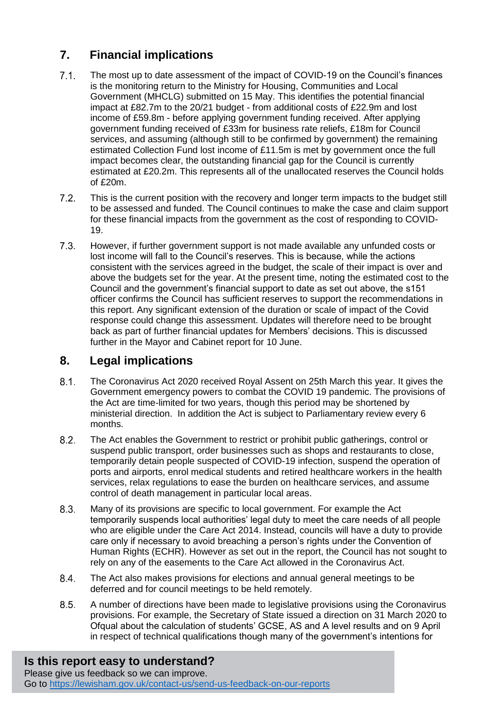# **7. Financial implications**

- $7.1.$ The most up to date assessment of the impact of COVID-19 on the Council's finances is the monitoring return to the Ministry for Housing, Communities and Local Government (MHCLG) submitted on 15 May. This identifies the potential financial impact at £82.7m to the 20/21 budget - from additional costs of £22.9m and lost income of £59.8m - before applying government funding received. After applying government funding received of £33m for business rate reliefs, £18m for Council services, and assuming (although still to be confirmed by government) the remaining estimated Collection Fund lost income of £11.5m is met by government once the full impact becomes clear, the outstanding financial gap for the Council is currently estimated at £20.2m. This represents all of the unallocated reserves the Council holds of £20m.
- $7.2<sub>1</sub>$ This is the current position with the recovery and longer term impacts to the budget still to be assessed and funded. The Council continues to make the case and claim support for these financial impacts from the government as the cost of responding to COVID-19.
- $7.3.$ However, if further government support is not made available any unfunded costs or lost income will fall to the Council's reserves. This is because, while the actions consistent with the services agreed in the budget, the scale of their impact is over and above the budgets set for the year. At the present time, noting the estimated cost to the Council and the government's financial support to date as set out above, the s151 officer confirms the Council has sufficient reserves to support the recommendations in this report. Any significant extension of the duration or scale of impact of the Covid response could change this assessment. Updates will therefore need to be brought back as part of further financial updates for Members' decisions. This is discussed further in the Mayor and Cabinet report for 10 June.

# **8. Legal implications**

- $8.1.$ The Coronavirus Act 2020 received Royal Assent on 25th March this year. It gives the Government emergency powers to combat the COVID 19 pandemic. The provisions of the Act are time-limited for two years, though this period may be shortened by ministerial direction. In addition the Act is subject to Parliamentary review every 6 months.
- $8.2.$ The Act enables the Government to restrict or prohibit public gatherings, control or suspend public transport, order businesses such as shops and restaurants to close, temporarily detain people suspected of COVID-19 infection, suspend the operation of ports and airports, enrol medical students and retired healthcare workers in the health services, relax regulations to ease the burden on healthcare services, and assume control of death management in particular local areas.
- $8.3.$ Many of its provisions are specific to local government. For example the Act temporarily suspends local authorities' legal duty to meet the care needs of all people who are eligible under the Care Act 2014. Instead, councils will have a duty to provide care only if necessary to avoid breaching a person's rights under the Convention of Human Rights (ECHR). However as set out in the report, the Council has not sought to rely on any of the easements to the Care Act allowed in the Coronavirus Act.
- $8.4$ The Act also makes provisions for elections and annual general meetings to be deferred and for council meetings to be held remotely.
- $8.5.$ A number of directions have been made to legislative provisions using the Coronavirus provisions. For example, the Secretary of State issued a direction on 31 March 2020 to Ofqual about the calculation of students' GCSE, AS and A level results and on 9 April in respect of technical qualifications though many of the government's intentions for

# **Is this report easy to understand?**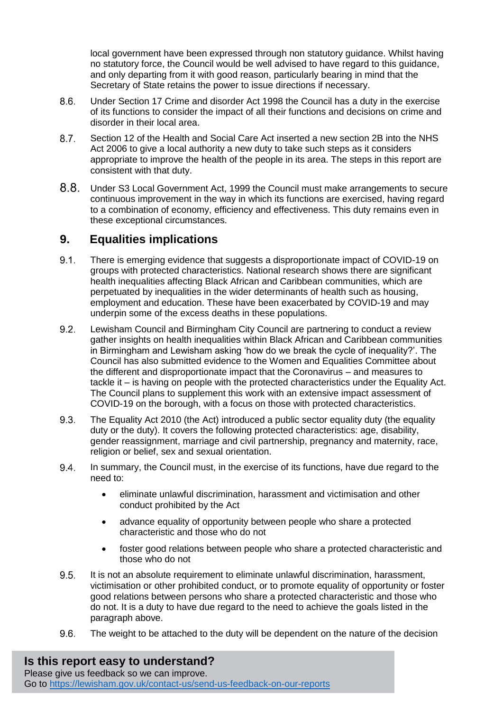local government have been expressed through non statutory guidance. Whilst having no statutory force, the Council would be well advised to have regard to this guidance, and only departing from it with good reason, particularly bearing in mind that the Secretary of State retains the power to issue directions if necessary.

- $8.6.$ Under Section 17 Crime and disorder Act 1998 the Council has a duty in the exercise of its functions to consider the impact of all their functions and decisions on crime and disorder in their local area.
- $8.7.$ Section 12 of the Health and Social Care Act inserted a new section 2B into the NHS Act 2006 to give a local authority a new duty to take such steps as it considers appropriate to improve the health of the people in its area. The steps in this report are consistent with that duty.
- $8.8.$ Under S3 Local Government Act, 1999 the Council must make arrangements to secure continuous improvement in the way in which its functions are exercised, having regard to a combination of economy, efficiency and effectiveness. This duty remains even in these exceptional circumstances.

## **9. Equalities implications**

- $9.1.$ There is emerging evidence that suggests a disproportionate impact of COVID-19 on groups with protected characteristics. National research shows there are significant health inequalities affecting Black African and Caribbean communities, which are perpetuated by inequalities in the wider determinants of health such as housing, employment and education. These have been exacerbated by COVID-19 and may underpin some of the excess deaths in these populations.
- $9.2.$ Lewisham Council and Birmingham City Council are partnering to conduct a review gather insights on health inequalities within Black African and Caribbean communities in Birmingham and Lewisham asking 'how do we break the cycle of inequality?'. The Council has also submitted evidence to the Women and Equalities Committee about the different and disproportionate impact that the Coronavirus – and measures to tackle it – is having on people with the protected characteristics under the Equality Act. The Council plans to supplement this work with an extensive impact assessment of COVID-19 on the borough, with a focus on those with protected characteristics.
- $9.3.$ The Equality Act 2010 (the Act) introduced a public sector equality duty (the equality duty or the duty). It covers the following protected characteristics: age, disability, gender reassignment, marriage and civil partnership, pregnancy and maternity, race, religion or belief, sex and sexual orientation.
- 9.4. In summary, the Council must, in the exercise of its functions, have due regard to the need to:
	- eliminate unlawful discrimination, harassment and victimisation and other conduct prohibited by the Act
	- advance equality of opportunity between people who share a protected characteristic and those who do not
	- foster good relations between people who share a protected characteristic and those who do not
- It is not an absolute requirement to eliminate unlawful discrimination, harassment,  $9.5.$ victimisation or other prohibited conduct, or to promote equality of opportunity or foster good relations between persons who share a protected characteristic and those who do not. It is a duty to have due regard to the need to achieve the goals listed in the paragraph above.
- $9.6.$ The weight to be attached to the duty will be dependent on the nature of the decision

**Is this report easy to understand?**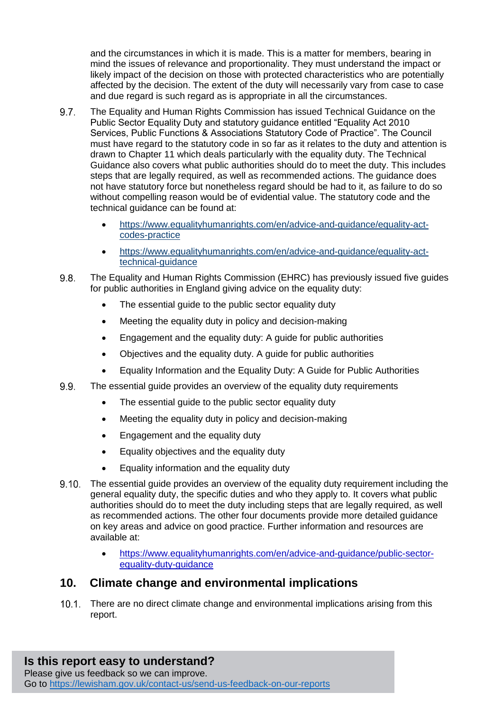and the circumstances in which it is made. This is a matter for members, bearing in mind the issues of relevance and proportionality. They must understand the impact or likely impact of the decision on those with protected characteristics who are potentially affected by the decision. The extent of the duty will necessarily vary from case to case and due regard is such regard as is appropriate in all the circumstances.

- $9.7.$ The Equality and Human Rights Commission has issued Technical Guidance on the Public Sector Equality Duty and statutory guidance entitled "Equality Act 2010 Services, Public Functions & Associations Statutory Code of Practice". The Council must have regard to the statutory code in so far as it relates to the duty and attention is drawn to Chapter 11 which deals particularly with the equality duty. The Technical Guidance also covers what public authorities should do to meet the duty. This includes steps that are legally required, as well as recommended actions. The guidance does not have statutory force but nonetheless regard should be had to it, as failure to do so without compelling reason would be of evidential value. The statutory code and the technical guidance can be found at:
	- [https://www.equalityhumanrights.com/en/advice-and-guidance/equality-act](https://www.equalityhumanrights.com/en/advice-and-guidance/equality-act-codes-practice)[codes-practice](https://www.equalityhumanrights.com/en/advice-and-guidance/equality-act-codes-practice)
	- [https://www.equalityhumanrights.com/en/advice-and-guidance/equality-act](https://www.equalityhumanrights.com/en/advice-and-guidance/equality-act-technical-guidance)[technical-guidance](https://www.equalityhumanrights.com/en/advice-and-guidance/equality-act-technical-guidance)
- $9.8.$ The Equality and Human Rights Commission (EHRC) has previously issued five guides for public authorities in England giving advice on the equality duty:
	- The essential quide to the public sector equality duty
	- Meeting the equality duty in policy and decision-making
	- Engagement and the equality duty: A guide for public authorities
	- Objectives and the equality duty. A guide for public authorities
	- Equality Information and the Equality Duty: A Guide for Public Authorities
- $9.9.$ The essential guide provides an overview of the equality duty requirements
	- The essential quide to the public sector equality duty
	- Meeting the equality duty in policy and decision-making
	- Engagement and the equality duty
	- Equality objectives and the equality duty
	- **Equality information and the equality duty**
- The essential guide provides an overview of the equality duty requirement including the general equality duty, the specific duties and who they apply to. It covers what public authorities should do to meet the duty including steps that are legally required, as well as recommended actions. The other four documents provide more detailed guidance on key areas and advice on good practice. Further information and resources are available at:
	- [https://www.equalityhumanrights.com/en/advice-and-guidance/public-sector](https://www.equalityhumanrights.com/en/advice-and-guidance/public-sector-equality-duty-guidance)[equality-duty-guidance](https://www.equalityhumanrights.com/en/advice-and-guidance/public-sector-equality-duty-guidance)

## **10. Climate change and environmental implications**

There are no direct climate change and environmental implications arising from this report.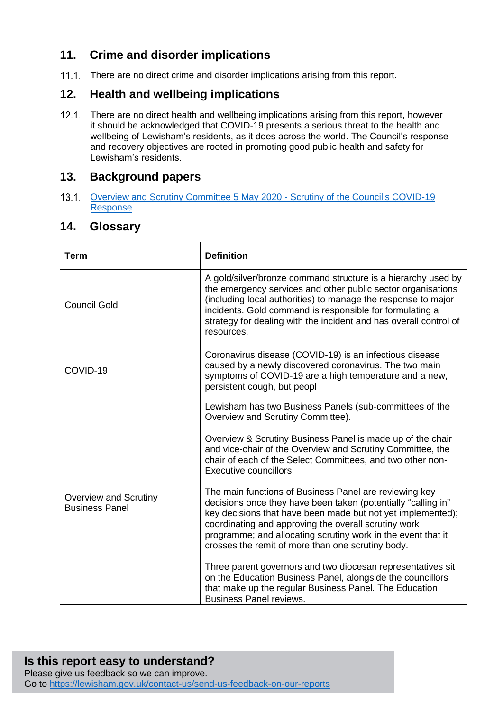# **11. Crime and disorder implications**

11.1. There are no direct crime and disorder implications arising from this report.

# **12. Health and wellbeing implications**

12.1. There are no direct health and wellbeing implications arising from this report, however it should be acknowledged that COVID-19 presents a serious threat to the health and wellbeing of Lewisham's residents, as it does across the world. The Council's response and recovery objectives are rooted in promoting good public health and safety for Lewisham's residents.

## **13. Background papers**

13.1. Overview and Scrutiny Committee 5 May 2020 - Scrutiny of the Council's COVID-19 [Response](http://councilmeetings.lewisham.gov.uk/documents/s73228/Scrutiny%20of%20the%20Councils%20Covid-19%20Response.pdf)

## **14. Glossary**

| <b>Term</b>                                           | <b>Definition</b>                                                                                                                                                                                                                                                                                                                                                                                                                                                                                                                                                                            |
|-------------------------------------------------------|----------------------------------------------------------------------------------------------------------------------------------------------------------------------------------------------------------------------------------------------------------------------------------------------------------------------------------------------------------------------------------------------------------------------------------------------------------------------------------------------------------------------------------------------------------------------------------------------|
| <b>Council Gold</b>                                   | A gold/silver/bronze command structure is a hierarchy used by<br>the emergency services and other public sector organisations<br>(including local authorities) to manage the response to major<br>incidents. Gold command is responsible for formulating a<br>strategy for dealing with the incident and has overall control of<br>resources.                                                                                                                                                                                                                                                |
| COVID-19                                              | Coronavirus disease (COVID-19) is an infectious disease<br>caused by a newly discovered coronavirus. The two main<br>symptoms of COVID-19 are a high temperature and a new,<br>persistent cough, but peopl                                                                                                                                                                                                                                                                                                                                                                                   |
| <b>Overview and Scrutiny</b><br><b>Business Panel</b> | Lewisham has two Business Panels (sub-committees of the<br>Overview and Scrutiny Committee).<br>Overview & Scrutiny Business Panel is made up of the chair<br>and vice-chair of the Overview and Scrutiny Committee, the<br>chair of each of the Select Committees, and two other non-<br>Executive councillors.                                                                                                                                                                                                                                                                             |
|                                                       | The main functions of Business Panel are reviewing key<br>decisions once they have been taken (potentially "calling in"<br>key decisions that have been made but not yet implemented);<br>coordinating and approving the overall scrutiny work<br>programme; and allocating scrutiny work in the event that it<br>crosses the remit of more than one scrutiny body.<br>Three parent governors and two diocesan representatives sit<br>on the Education Business Panel, alongside the councillors<br>that make up the regular Business Panel. The Education<br><b>Business Panel reviews.</b> |

#### **Is this report easy to understand?** Please give us feedback so we can improve. Go to<https://lewisham.gov.uk/contact-us/send-us-feedback-on-our-reports>